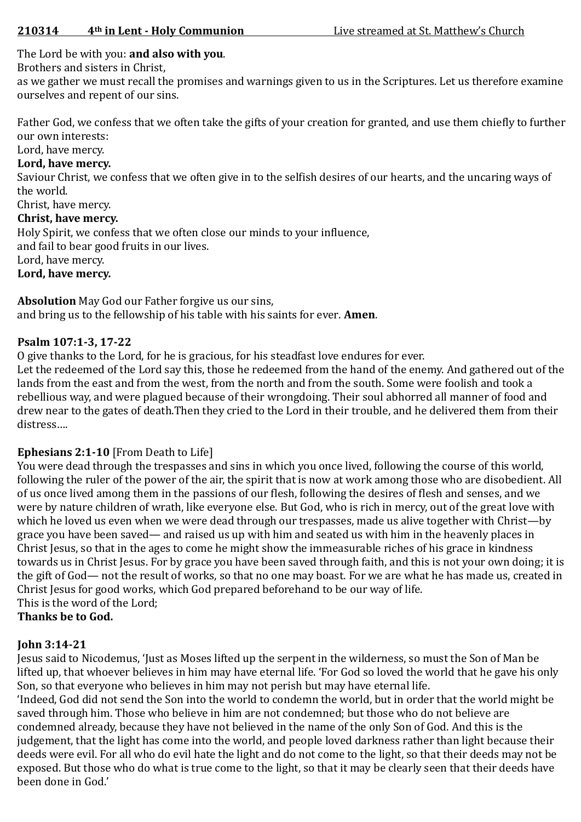# The Lord be with you: **and also with you**.

Brothers and sisters in Christ,

as we gather we must recall the promises and warnings given to us in the Scriptures. Let us therefore examine ourselves and repent of our sins.

Father God, we confess that we often take the gifts of your creation for granted, and use them chiefly to further our own interests:

Lord, have mercy.

### **Lord, have mercy.**

Saviour Christ, we confess that we often give in to the selfish desires of our hearts, and the uncaring ways of the world.

# Christ, have mercy.

# **Christ, have mercy.**

Holy Spirit, we confess that we often close our minds to your influence,

and fail to bear good fruits in our lives.

Lord, have mercy.

#### **Lord, have mercy.**

**Absolution** May God our Father forgive us our sins, and bring us to the fellowship of his table with his saints for ever. **Amen**.

#### **Psalm 107:1-3, 17-22**

O give thanks to the Lord, for he is gracious, for his steadfast love endures for ever. Let the redeemed of the Lord say this, those he redeemed from the hand of the enemy. And gathered out of the lands from the east and from the west, from the north and from the south. Some were foolish and took a rebellious way, and were plagued because of their wrongdoing. Their soul abhorred all manner of food and drew near to the gates of death.Then they cried to the Lord in their trouble, and he delivered them from their distress….

# **Ephesians 2:1-10** [From Death to Life]

You were dead through the trespasses and sins in which you once lived, following the course of this world, following the ruler of the power of the air, the spirit that is now at work among those who are disobedient. All of us once lived among them in the passions of our flesh, following the desires of flesh and senses, and we were by nature children of wrath, like everyone else. But God, who is rich in mercy, out of the great love with which he loved us even when we were dead through our trespasses, made us alive together with Christ—by grace you have been saved— and raised us up with him and seated us with him in the heavenly places in Christ Jesus, so that in the ages to come he might show the immeasurable riches of his grace in kindness towards us in Christ Jesus. For by grace you have been saved through faith, and this is not your own doing; it is the gift of God— not the result of works, so that no one may boast. For we are what he has made us, created in Christ Jesus for good works, which God prepared beforehand to be our way of life. This is the word of the Lord;

**Thanks be to God.**

# **John 3:14-21**

Jesus said to Nicodemus, 'Just as Moses lifted up the serpent in the wilderness, so must the Son of Man be lifted up, that whoever believes in him may have eternal life. 'For God so loved the world that he gave his only Son, so that everyone who believes in him may not perish but may have eternal life.

'Indeed, God did not send the Son into the world to condemn the world, but in order that the world might be saved through him. Those who believe in him are not condemned; but those who do not believe are condemned already, because they have not believed in the name of the only Son of God. And this is the judgement, that the light has come into the world, and people loved darkness rather than light because their deeds were evil. For all who do evil hate the light and do not come to the light, so that their deeds may not be exposed. But those who do what is true come to the light, so that it may be clearly seen that their deeds have been done in God.'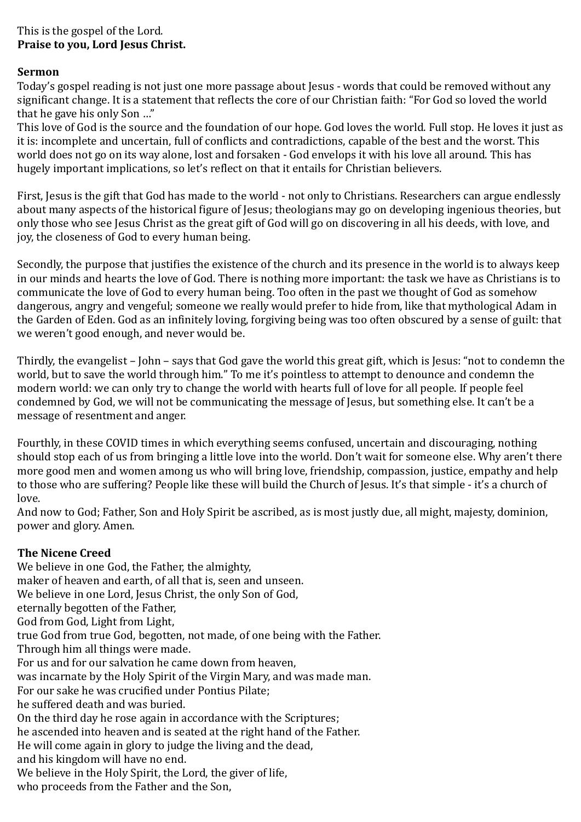# This is the gospel of the Lord. **Praise to you, Lord Jesus Christ.**

#### **Sermon**

Today's gospel reading is not just one more passage about Jesus - words that could be removed without any significant change. It is a statement that reflects the core of our Christian faith: "For God so loved the world that he gave his only Son …"

This love of God is the source and the foundation of our hope. God loves the world. Full stop. He loves it just as it is: incomplete and uncertain, full of conflicts and contradictions, capable of the best and the worst. This world does not go on its way alone, lost and forsaken - God envelops it with his love all around. This has hugely important implications, so let's reflect on that it entails for Christian believers.

First, Jesus is the gift that God has made to the world - not only to Christians. Researchers can argue endlessly about many aspects of the historical figure of Jesus; theologians may go on developing ingenious theories, but only those who see Jesus Christ as the great gift of God will go on discovering in all his deeds, with love, and joy, the closeness of God to every human being.

Secondly, the purpose that justifies the existence of the church and its presence in the world is to always keep in our minds and hearts the love of God. There is nothing more important: the task we have as Christians is to communicate the love of God to every human being. Too often in the past we thought of God as somehow dangerous, angry and vengeful; someone we really would prefer to hide from, like that mythological Adam in the Garden of Eden. God as an infinitely loving, forgiving being was too often obscured by a sense of guilt: that we weren't good enough, and never would be.

Thirdly, the evangelist – John – says that God gave the world this great gift, which is Jesus: "not to condemn the world, but to save the world through him." To me it's pointless to attempt to denounce and condemn the modern world: we can only try to change the world with hearts full of love for all people. If people feel condemned by God, we will not be communicating the message of Jesus, but something else. It can't be a message of resentment and anger.

Fourthly, in these COVID times in which everything seems confused, uncertain and discouraging, nothing should stop each of us from bringing a little love into the world. Don't wait for someone else. Why aren't there more good men and women among us who will bring love, friendship, compassion, justice, empathy and help to those who are suffering? People like these will build the Church of Jesus. It's that simple - it's a church of love.

And now to God; Father, Son and Holy Spirit be ascribed, as is most justly due, all might, majesty, dominion, power and glory. Amen.

# **The Nicene Creed**

We believe in one God, the Father, the almighty, maker of heaven and earth, of all that is, seen and unseen. We believe in one Lord, Jesus Christ, the only Son of God, eternally begotten of the Father, God from God, Light from Light, true God from true God, begotten, not made, of one being with the Father. Through him all things were made. For us and for our salvation he came down from heaven, was incarnate by the Holy Spirit of the Virgin Mary, and was made man. For our sake he was crucified under Pontius Pilate; he suffered death and was buried. On the third day he rose again in accordance with the Scriptures; he ascended into heaven and is seated at the right hand of the Father. He will come again in glory to judge the living and the dead, and his kingdom will have no end. We believe in the Holy Spirit, the Lord, the giver of life, who proceeds from the Father and the Son,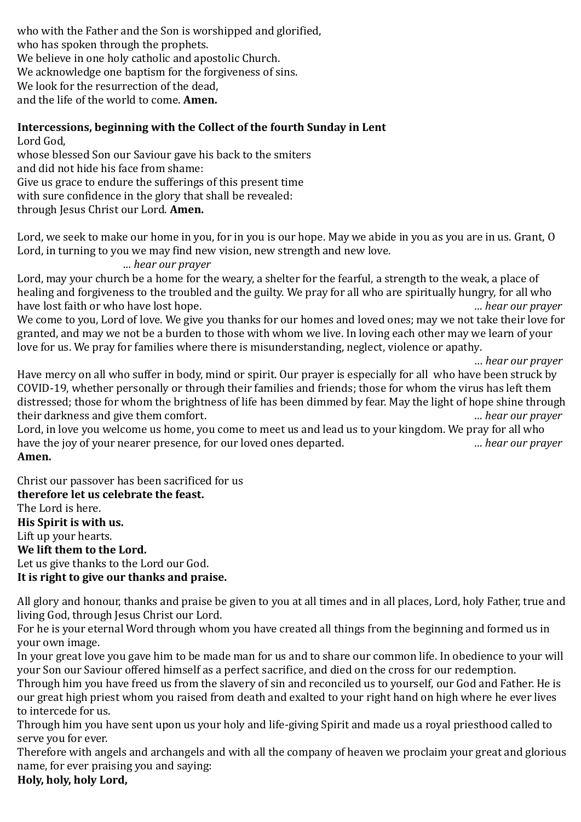who with the Father and the Son is worshipped and glorified, who has spoken through the prophets. We believe in one holy catholic and apostolic Church. We acknowledge one baptism for the forgiveness of sins. We look for the resurrection of the dead. and the life of the world to come. **Amen.**

# **Intercessions, beginning with the Collect of the fourth Sunday in Lent**

Lord God,

whose blessed Son our Saviour gave his back to the smiters

and did not hide his face from shame:

Give us grace to endure the sufferings of this present time

with sure confidence in the glory that shall be revealed:

through Jesus Christ our Lord. **Amen.**

Lord, we seek to make our home in you, for in you is our hope. May we abide in you as you are in us. Grant, O Lord, in turning to you we may find new vision, new strength and new love.

#### *… hear our prayer*

Lord, may your church be a home for the weary, a shelter for the fearful, a strength to the weak, a place of healing and forgiveness to the troubled and the guilty. We pray for all who are spiritually hungry, for all who have lost faith or who have lost hope. *… hear our prayer*

We come to you, Lord of love. We give you thanks for our homes and loved ones; may we not take their love for granted, and may we not be a burden to those with whom we live. In loving each other may we learn of your love for us. We pray for families where there is misunderstanding, neglect, violence or apathy.

… *hear our prayer*

Have mercy on all who suffer in body, mind or spirit. Our prayer is especially for all who have been struck by COVID-19, whether personally or through their families and friends; those for whom the virus has left them distressed; those for whom the brightness of life has been dimmed by fear. May the light of hope shine through their darkness and give them comfort. *… hear our prayer*

Lord, in love you welcome us home, you come to meet us and lead us to your kingdom. We pray for all who have the joy of your nearer presence, for our loved ones departed. *… hear our prayer* **Amen.**

Christ our passover has been sacrificed for us **therefore let us celebrate the feast.**  The Lord is here. **His Spirit is with us.**  Lift up your hearts. **We lift them to the Lord.**  Let us give thanks to the Lord our God. **It is right to give our thanks and praise.**

All glory and honour, thanks and praise be given to you at all times and in all places, Lord, holy Father, true and living God, through Jesus Christ our Lord.

For he is your eternal Word through whom you have created all things from the beginning and formed us in your own image.

In your great love you gave him to be made man for us and to share our common life. In obedience to your will your Son our Saviour offered himself as a perfect sacrifice, and died on the cross for our redemption.

Through him you have freed us from the slavery of sin and reconciled us to yourself, our God and Father. He is our great high priest whom you raised from death and exalted to your right hand on high where he ever lives to intercede for us.

Through him you have sent upon us your holy and life-giving Spirit and made us a royal priesthood called to serve you for ever.

Therefore with angels and archangels and with all the company of heaven we proclaim your great and glorious name, for ever praising you and saying:

**Holy, holy, holy Lord,**